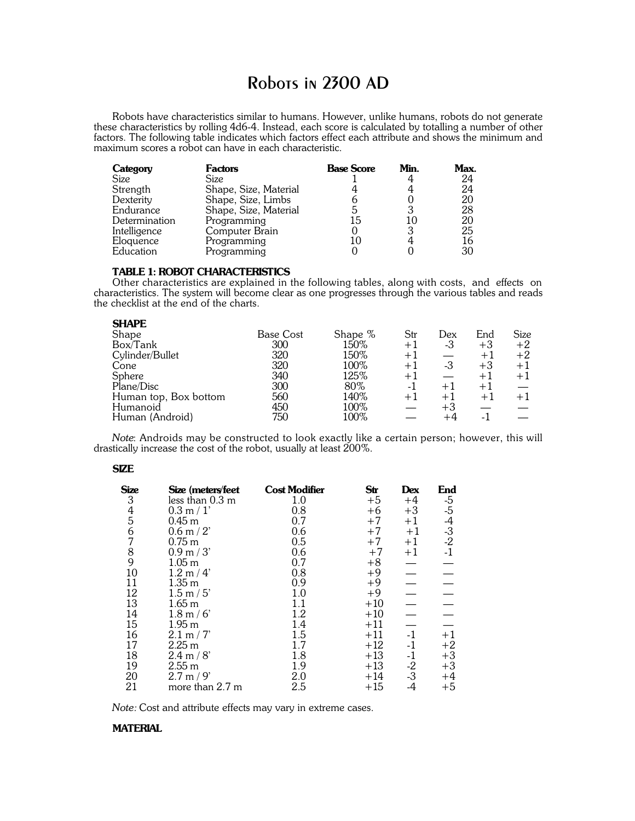# Robots in 2300 AD

Robots have characteristics similar to humans. However, unlike humans, robots do not generate these characteristics by rolling 4d6-4. Instead, each score is calculated by totalling a number of other factors. The following table indicates which factors effect each attribute and shows the minimum and maximum scores a robot can have in each characteristic.

| Category      | <b>Factors</b>        | <b>Base Score</b> | Min. | Max. |
|---------------|-----------------------|-------------------|------|------|
| Size          | Size                  |                   |      | 24   |
| Strength      | Shape, Size, Material |                   |      | 24   |
| Dexterity     | Shape, Size, Limbs    |                   |      | 20   |
| Endurance     | Shape, Size, Material |                   |      | 28   |
| Determination | Programming           | 15                | 10   | 20   |
| Intelligence  | Computer Brain        |                   | 3    | 25   |
| Eloquence     | Programming           |                   |      | 16   |
| Education     | Programming           |                   |      | 30   |

# **TABLE 1: ROBOT CHARACTERISTICS**

Other characteristics are explained in the following tables, along with costs, and effects on characteristics. The system will become clear as one progresses through the various tables and reads the checklist at the end of the charts.

| SHAFE                 |                  |         |      |      |      |      |
|-----------------------|------------------|---------|------|------|------|------|
| Shape                 | <b>Base Cost</b> | Shape % | Str  | Dex  | End  | Size |
| Box/Tank              | 300              | 150%    | $+1$ | -3   | $+3$ | $+2$ |
| Cylinder/Bullet       | 320              | 150%    | $+1$ |      | $+1$ | $+2$ |
| Cone                  | 320              | 100%    | $+1$ | -3   | $+3$ | $+1$ |
| Sphere                | 340              | 125%    | $+1$ |      | $+1$ | $+1$ |
| Plane/Disc            | 300              | 80%     | -1   | $+1$ | $+1$ |      |
| Human top, Box bottom | 560              | 140%    | $+1$ | $+1$ | $+1$ | $+1$ |
| Humanoid              | 450              | 100%    |      | $+3$ |      |      |
| Human (Android)       | 750              | 100%    |      |      |      |      |
|                       |                  |         |      |      |      |      |

*Note*: Androids may be constructed to look exactly like a certain person; however, this will drastically increase the cost of the robot, usually at least 200%.

#### **SIZE**

**SHAPE**

| Size    | Size (meters/feet   | <b>Cost Modifier</b> | Str   | Dex          | End                                          |
|---------|---------------------|----------------------|-------|--------------|----------------------------------------------|
|         | less than 0.3 m     | 1.0                  | $+5$  | $+4$         |                                              |
|         | 0.3 m / 1'          | 0.8                  | $+6$  | $+3$         |                                              |
| 3456789 | 0.45 <sub>m</sub>   | 0.7                  | $+7$  | $+1$         | $-5$<br>$-5$<br>$-4$<br>$-3$<br>$-2$<br>$-1$ |
|         | $0.6$ m $/ 2$       | 0.6                  | $+7$  | $+1$         |                                              |
|         | $0.75$ m            | 0.5                  | $+7$  | $+1$         |                                              |
|         | 0.9 m / 3'          | 0.6                  | $+7$  | $+1$         |                                              |
|         | 1.05 <sub>m</sub>   | 0.7                  | $+8$  |              |                                              |
| 10      | 1.2 m / 4'          | 0.8                  | $+9$  |              |                                              |
| 11      | 1.35 <sub>m</sub>   | 0.9                  | $+9$  |              |                                              |
| 12      | 1.5 m / 5'          | 1.0                  | $+9$  |              |                                              |
| 13      | 1.65 <sub>m</sub>   | 1.1                  | $+10$ |              |                                              |
| 14      | $1.8 \text{ m} / 6$ | 1.2                  | $+10$ |              |                                              |
| 15      | 1.95 <sub>m</sub>   | 1.4                  | $+11$ |              |                                              |
| 16      | 2.1 m / 7           | 1.5                  | $+11$ | $-1$         | $+1$                                         |
| 17      | 2.25 <sub>m</sub>   | 1.7                  | $+12$ | $-1$         | $+2$                                         |
| 18      | 2.4 m / 8'          | 1.8                  | $+13$ | $-1$         | $+3$                                         |
| 19      | 2.55 <sub>m</sub>   | 1.9                  | $+13$ |              | $+3$                                         |
| 20      | 2.7 m / 9'          | 2.0                  | $+14$ | $-2$<br>$-3$ | $+4$                                         |
| 21      | more than 2.7 m     | 2.5                  | $+15$ | -4           | $+5$                                         |

*Note:* Cost and attribute effects may vary in extreme cases.

# **MATERIAL**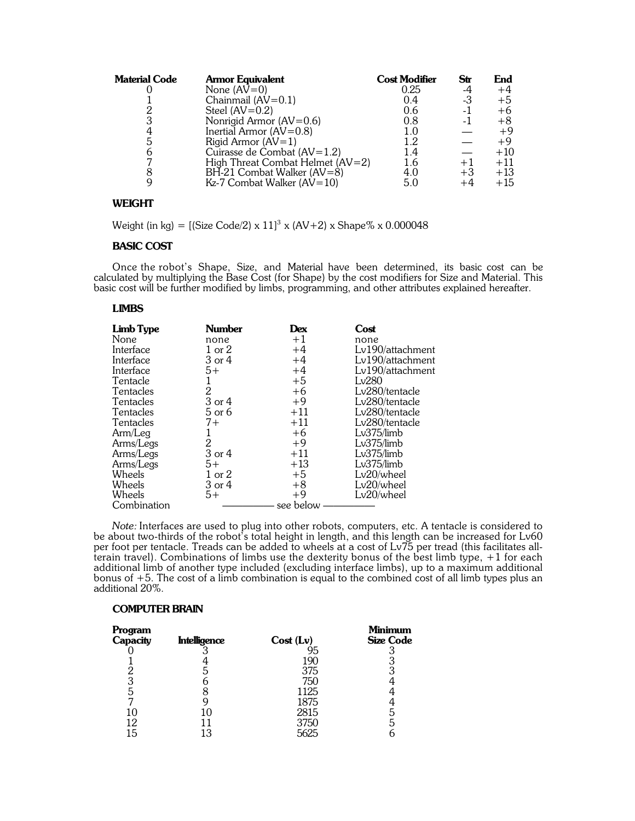| <b>Material Code</b> | <b>Armor Equivalent</b>          | <b>Cost Modifier</b> | Str  | End   |
|----------------------|----------------------------------|----------------------|------|-------|
|                      | None $(AV=0)$                    | 0.25                 | -4   | $+4$  |
|                      | Chainmail $(AV=0.1)$             | 0.4                  | -3   | $+5$  |
|                      | Steel $(AV=0.2)$                 | 0.6                  | -1   | $+6$  |
| 3                    | Nonrigid Armor $(AV=0.6)$        | 0.8                  | -1   | $+8$  |
| 4                    | Inertial Armor $(AV=0.8)$        | 1.0                  |      | $+9$  |
| 5                    | Rigid Armor $(AV=1)$             | 1.2                  |      | $+9$  |
|                      | Cuirasse de Combat $(AV=1.2)$    | 1.4                  |      | $+10$ |
|                      | High Threat Combat Helmet (AV=2) | 1.6                  | $+1$ | $+11$ |
|                      | BH-21 Combat Walker (AV=8)       | 4.0                  | $+3$ | $+13$ |
|                      | $Kz-7$ Combat Walker (AV=10)     | 5.0                  | +4   | $+15$ |

# **WEIGHT**

Weight (in kg) = [(Size Code/2) x  $11]^3$  x (AV+2) x Shape% x 0.000048

# **BASIC COST**

Once the robot's Shape, Size, and Material have been determined, its basic cost can be calculated by multiplying the Base Cost (for Shape) by the cost modifiers for Size and Material. This basic cost will be further modified by limbs, programming, and other attributes explained hereafter.

# **LIMBS**

| <b>Limb Type</b> | <b>Number</b>  | Dex       | Cost             |
|------------------|----------------|-----------|------------------|
| None             | none           | $+1$      | none             |
| Interface        | 1 or 2         | $+4$      | Lv190/attachment |
| Interface        | 3 or 4         | $+4$      | Lv190/attachment |
| Interface        | $5+$           | $+4$      | Lv190/attachment |
| Tentacle         | 1              | $+5$      | Lv280            |
| Tentacles        | $\mathbf{2}$   | $+6$      | Lv280/tentacle   |
| Tentacles        | 3 or 4         | $+9$      | Lv280/tentacle   |
| Tentacles        | 5 or 6         | $+11$     | Lv280/tentacle   |
| Tentacles        | $7+$           | $+11$     | Lv280/tentacle   |
| Arm/Leg          |                | $+6$      | Lv375/limb       |
| Arms/Legs        | $\overline{2}$ | $+9$      | Lv375/limb       |
| Arms/Legs        | 3 or 4         | $+11$     | Lv375/limb       |
| Arms/Legs        | $5+$           | $+13$     | Lv375/limb       |
| Wheels           | 1 or 2         | $+5$      | Lv20/wheel       |
| Wheels           | 3 or 4         | $+8$      | Lv20/wheel       |
| Wheels           | $5+$           | $+9$      | Lv20/wheel       |
| Combination      |                | see below |                  |

*Note:* Interfaces are used to plug into other robots, computers, etc. A tentacle is considered to be about two-thirds of the robot's total height in length, and this length can be increased for Lv60 per foot per tentacle. Treads can be added to wheels at a cost of Lv75 per tread (this facilitates allterain travel). Combinations of limbs use the dexterity bonus of the best limb type, +1 for each additional limb of another type included (excluding interface limbs), up to a maximum additional bonus of +5. The cost of a limb combination is equal to the combined cost of all limb types plus an additional 20%.

#### **COMPUTER BRAIN**

| Program<br>Capacity | <b>Intelligence</b> | Cost (Lv) | <b>Minimum</b><br><b>Size Code</b> |
|---------------------|---------------------|-----------|------------------------------------|
|                     |                     |           |                                    |
|                     |                     | 190       |                                    |
|                     | G                   | 375       | ą                                  |
| 3                   |                     | 750       |                                    |
| 5                   |                     | 1125      |                                    |
|                     |                     | 1875      |                                    |
| 10                  |                     | 2815      | b                                  |
| 12                  |                     | 3750      | b                                  |
| 15                  | 1 R                 | 5625      |                                    |
|                     |                     |           |                                    |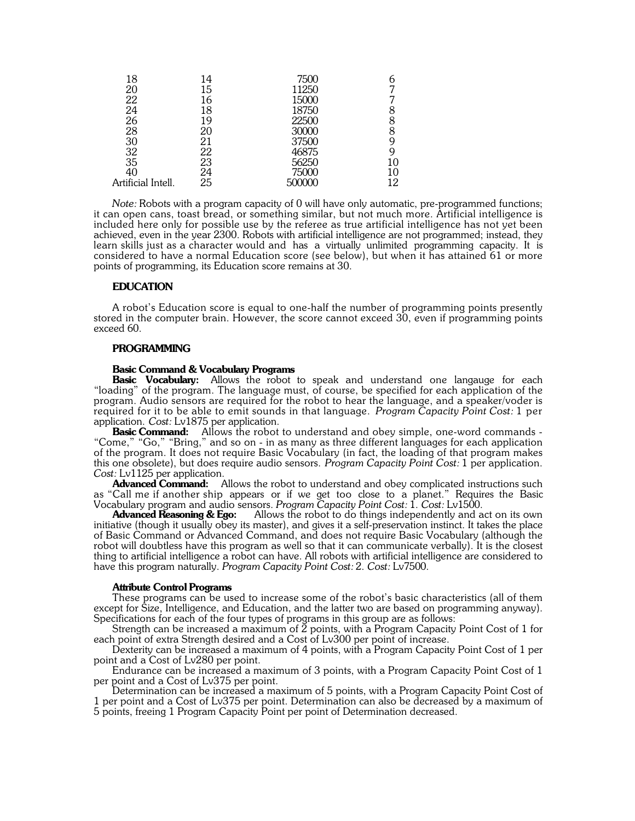| 18                                      | 14 | 7500   |    |
|-----------------------------------------|----|--------|----|
| 20                                      | 15 | 11250  |    |
| 22                                      | 16 | 15000  |    |
| 24                                      | 18 | 18750  |    |
| 26                                      | 19 | 22500  | 8  |
| 28                                      | 20 | 30000  | 8  |
| $\begin{array}{c} 30 \\ 32 \end{array}$ | 21 | 37500  |    |
|                                         | 22 | 46875  |    |
| 35                                      | 23 | 56250  | 10 |
| 40                                      | 24 | 75000  | 10 |
| Artificial Intell.                      | 25 | 500000 | 12 |
|                                         |    |        |    |

*Note:* Robots with a program capacity of 0 will have only automatic, pre-programmed functions; it can open cans, toast bread, or something similar, but not much more. Artificial intelligence is included here only for possible use by the referee as true artificial intelligence has not yet been achieved, even in the year 2300. Robots with artificial intelligence are not programmed; instead, they learn skills just as a character would and has a virtually unlimited programming capacity. It is considered to have a normal Education score (see below), but when it has attained 61 or more points of programming, its Education score remains at 30.

## **EDUCATION**

A robot's Education score is equal to one-half the number of programming points presently stored in the computer brain. However, the score cannot exceed 30, even if programming points exceed 60.

#### **PROGRAMMING**

#### **Basic Command & Vocabulary Programs**

**Basic Vocabulary:** Allows the robot to speak and understand one langauge for each "loading" of the program. The language must, of course, be specified for each application of the program. Audio sensors are required for the robot to hear the language, and a speaker/voder is required for it to be able to emit sounds in that language. *Program Capacity Point Cost:* 1 per application. *Cost:* Lv1875 per application.

**Basic Command:** Allows the robot to understand and obey simple, one-word commands - "Come," "Go," "Bring," and so on - in as many as three different languages for each application of the program. It does not require Basic Vocabulary (in fact, the loading of that program makes this one obsolete), but does require audio sensors. *Program Capacity Point Cost:* 1 per application. Cost: Lv1125 per application.<br>**Advanced Command:** 

Allows the robot to understand and obey complicated instructions such as "Call me if another ship appears or if we get too close to a planet." Requires the Basic Vocabulary program and audio sensors. *Program Capacity Point Cost:* 1. *Cost:* Lv1500.

**Advanced Reasoning & Ego:** Allows the robot to do things independently and act on its own initiative (though it usually obey its master), and gives it a self-preservation instinct. It takes the place of Basic Command or Advanced Command, and does not require Basic Vocabulary (although the robot will doubtless have this program as well so that it can communicate verbally). It is the closest thing to artificial intelligence a robot can have. All robots with artificial intelligence are considered to have this program naturally. *Program Capacity Point Cost:* 2. *Cost:* Lv7500.

#### **Attribute Control Programs**

These programs can be used to increase some of the robot's basic characteristics (all of them except for Size, Intelligence, and Education, and the latter two are based on programming anyway). Specifications for each of the four types of programs in this group are as follows:

Strength can be increased a maximum of 2 points, with a Program Capacity Point Cost of 1 for each point of extra Strength desired and a Cost of Lv300 per point of increase.

Dexterity can be increased a maximum of 4 points, with a Program Capacity Point Cost of 1 per point and a Cost of Lv280 per point.

Endurance can be increased a maximum of 3 points, with a Program Capacity Point Cost of 1 per point and a Cost of Lv375 per point.

Determination can be increased a maximum of 5 points, with a Program Capacity Point Cost of 1 per point and a Cost of Lv375 per point. Determination can also be decreased by a maximum of 5 points, freeing 1 Program Capacity Point per point of Determination decreased.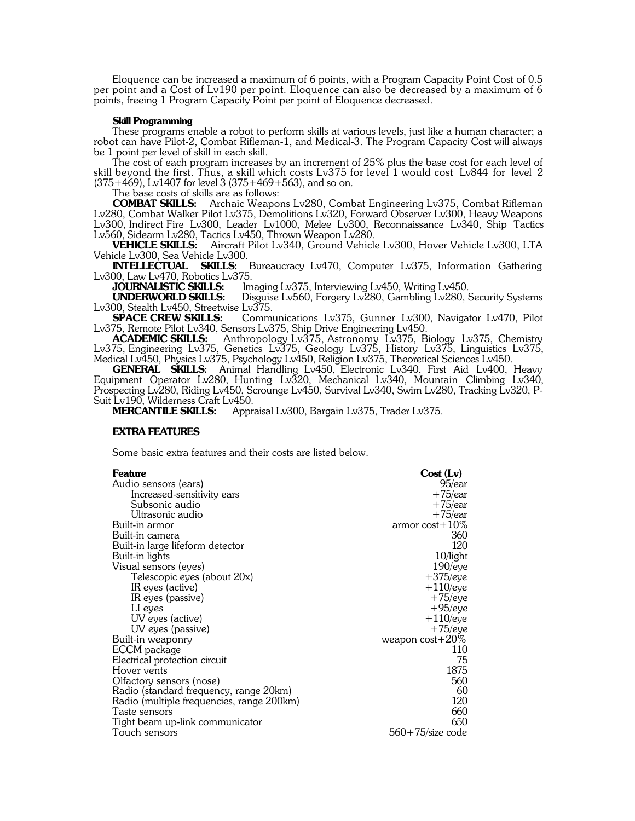Eloquence can be increased a maximum of 6 points, with a Program Capacity Point Cost of 0.5 per point and a Cost of Lv190 per point. Eloquence can also be decreased by a maximum of 6 points, freeing 1 Program Capacity Point per point of Eloquence decreased.

# **Skill Programming**

These programs enable a robot to perform skills at various levels, just like a human character; a robot can have Pilot-2, Combat Rifleman-1, and Medical-3. The Program Capacity Cost will always be 1 point per level of skill in each skill.

The cost of each program increases by an increment of 25% plus the base cost for each level of skill beyond the first. Thus, a skill which costs Lv375 for level 1 would cost Lv844 for level 2 (375+469), Lv1407 for level 3 (375+469+563), and so on.

The base costs of skills are as follows:<br>**COMBAT SKILLS:** Archaic Weapo

Archaic Weapons Lv280, Combat Engineering Lv375, Combat Rifleman Lv280, Combat Walker Pilot Lv375, Demolitions Lv320, Forward Observer Lv300, Heavy Weapons Lv300, Indirect Fire Lv300, Leader Lv1000, Melee Lv300, Reconnaissance Lv340, Ship Tactics Lv560, Sidearm Lv280, Tactics Lv450, Thrown Weapon Lv280.<br> **VEHICLE SKILLS:** Aircraft Pilot Lv340, Ground Vehicl

Aircraft Pilot Lv340, Ground Vehicle Lv300, Hover Vehicle Lv300, LTA Vehicle Lv300, Sea Vehicle Lv300.<br> **INTELLECTUAL SKILLS:** 

Bureaucracy Lv470, Computer Lv375, Information Gathering Lv300, Law Lv470, Robotics Lv375.<br>**JOURNALISTIC SKILLS:** Im

**JOURNALISTIC SKILLS:** Imaging Lv375, Interviewing Lv450, Writing Lv450.<br>**UNDERWORLD SKILLS:** Disguise Lv560, Forgery Lv280, Gambling Lv280,

Disguise Lv560, Forgery Lv280, Gambling Lv280, Security Systems Lv375. Lv300, Stealth Lv450, Streetwise<br> **SPACE CREW SKILLS:** 

Communications Lv375, Gunner Lv300, Navigator Lv470, Pilot Lv375, Remote Pilot Lv340, Sensors Lv375, Ship Drive Engineering Lv450.

**ACADEMIC SKILLS:** Anthropology Lv375, Astronomy Lv375, Biology Lv375, Chemistry Lv375, Engineering Lv375, Genetics Lv375, Geology Lv375, History Lv375, Linguistics Lv375, Medical Lv450, Physics Lv375, Psychology Lv450, Religion Lv375, Theoretical Sciences Lv450.

**GENERAL SKILLS:** Animal Handling Lv450, Electronic Lv340, First Aid Lv400, Heavy Equipment Operator Lv280, Hunting Lv320, Mechanical Lv340, Mountain Climbing Lv340, Prospecting Lv280, Riding Lv450, Scrounge Lv450, Survival Lv340, Swim Lv280, Tracking Lv320, P-Suit Lv190, Wilderness Craft Lv450.<br>MERCANTILE SKILLS: Appr

**MERCANTILE SKILLS:** Appraisal Lv300, Bargain Lv375, Trader Lv375.

#### **EXTRA FEATURES**

Some basic extra features and their costs are listed below.

| Feature                                   | Cost (Lv)           |
|-------------------------------------------|---------------------|
| Audio sensors (ears)                      | $95$ /ear           |
| Increased-sensitivity ears                | $+75/ear$           |
| Subsonic audio                            | $+75$ /ear          |
| Ultrasonic audio                          | $+75$ /ear          |
| Built-in armor                            | armor $cost+10\%$   |
| Built-in camera                           | 360                 |
| Built-in large lifeform detector          | 120                 |
| Built-in lights                           | 10/light            |
| Visual sensors (eyes)                     | 190/eye             |
| Telescopic eyes (about 20x)               | +375/eye            |
| IR eyes (active)                          | $+110$ /eye         |
| IR eyes (passive)                         | $+75$ /eye          |
| LI eyes                                   | $+95$ /eye          |
| UV eyes (active)                          | $+110$ /eye         |
| UV eyes (passive)                         | $+75$ /eye          |
| Built-in weaponry                         | weapon $cost+20\%$  |
| ECCM package                              | 110                 |
| Electrical protection circuit             | 75                  |
| Hover vents                               | 1875                |
| Olfactory sensors (nose)                  | 560                 |
| Radio (standard frequency, range 20km)    | 60                  |
| Radio (multiple frequencies, range 200km) | 120                 |
| Taste sensors                             | 660                 |
| Tight beam up-link communicator           | 650                 |
| Touch sensors                             | $560+75$ /size code |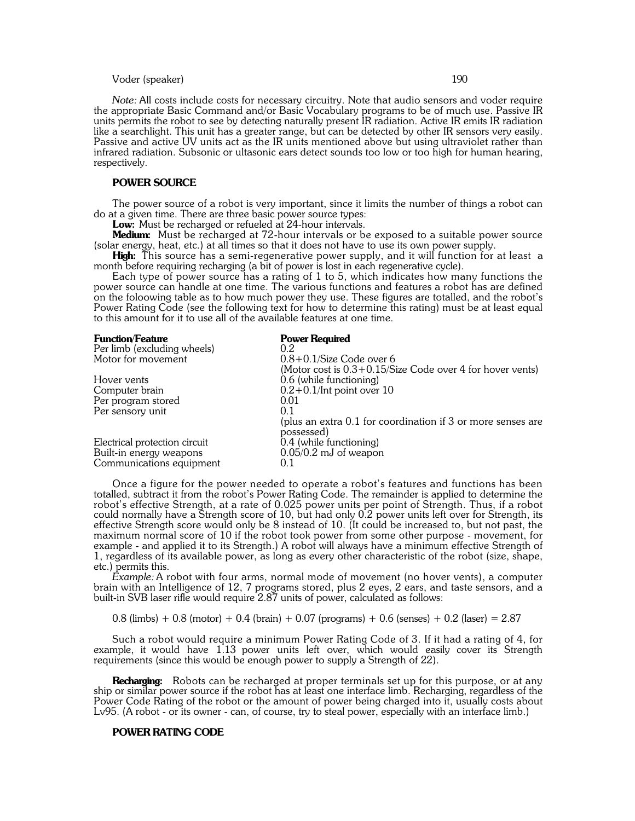# Voder (speaker) 190

*Note:* All costs include costs for necessary circuitry. Note that audio sensors and voder require the appropriate Basic Command and/or Basic Vocabulary programs to be of much use. Passive IR units permits the robot to see by detecting naturally present IR radiation. Active IR emits IR radiation like a searchlight. This unit has a greater range, but can be detected by other IR sensors very easily. Passive and active UV units act as the IR units mentioned above but using ultraviolet rather than infrared radiation. Subsonic or ultasonic ears detect sounds too low or too high for human hearing, respectively.

# **POWER SOURCE**

The power source of a robot is very important, since it limits the number of things a robot can do at a given time. There are three basic power source types:

**Low:** Must be recharged or refueled at 24-hour intervals.

**Medium:** Must be recharged at 72-hour intervals or be exposed to a suitable power source (solar energy, heat, etc.) at all times so that it does not have to use its own power supply.

**High:** This source has a semi-regenerative power supply, and it will function for at least a month before requiring recharging (a bit of power is lost in each regenerative cycle).

Each type of power source has a rating of 1 to 5, which indicates how many functions the power source can handle at one time. The various functions and features a robot has are defined on the foloowing table as to how much power they use. These figures are totalled, and the robot's Power Rating Code (see the following text for how to determine this rating) must be at least equal to this amount for it to use all of the available features at one time.

| <b>Function/Feature</b>       | <b>Power Required</b>                                        |
|-------------------------------|--------------------------------------------------------------|
| Per limb (excluding wheels)   | 0.2                                                          |
| Motor for movement            | $0.8+0.1$ /Size Code over 6                                  |
|                               | (Motor cost is $0.3+0.15$ /Size Code over 4 for hover vents) |
| Hover vents                   | 0.6 (while functioning)                                      |
| Computer brain                |                                                              |
| Per program stored            | 0.01                                                         |
|                               | 0.1                                                          |
|                               | (plus an extra 0.1 for coordination if 3 or more senses are  |
|                               | possessed)                                                   |
| Electrical protection circuit | 0.4 (while functioning)                                      |
| Built-in energy weapons       | $0.05/0.2$ mJ of weapon                                      |
| Communications equipment      | 0.1                                                          |
| Per sensory unit              | $0.2 + 0.1$ /Int point over 10                               |

Once a figure for the power needed to operate a robot's features and functions has been totalled, subtract it from the robot's Power Rating Code. The remainder is applied to determine the robot's effective Strength, at a rate of 0.025 power units per point of Strength. Thus, if a robot could normally have a Strength score of 10, but had only 0.2 power units left over for Strength, its effective Strength score would only be 8 instead of 10. (It could be increased to, but not past, the maximum normal score of 10 if the robot took power from some other purpose - movement, for example - and applied it to its Strength.) A robot will always have a minimum effective Strength of 1, regardless of its available power, as long as every other characteristic of the robot (size, shape, etc.) permits this.

*Example:* A robot with four arms, normal mode of movement (no hover vents), a computer brain with an Intelligence of 12, 7 programs stored, plus 2 eyes, 2 ears, and taste sensors, and a built-in SVB laser rifle would require 2.87 units of power, calculated as follows:

 $0.8$  (limbs) +  $0.8$  (motor) +  $0.4$  (brain) +  $0.07$  (programs) +  $0.6$  (senses) +  $0.2$  (laser) =  $2.87$ 

Such a robot would require a minimum Power Rating Code of 3. If it had a rating of 4, for example, it would have 1.13 power units left over, which would easily cover its Strength requirements (since this would be enough power to supply a Strength of 22).

**Recharging:** Robots can be recharged at proper terminals set up for this purpose, or at any ship or similar power source if the robot has at least one interface limb. Recharging, regardless of the Power Code Rating of the robot or the amount of power being charged into it, usually costs about Lv95. (A robot - or its owner - can, of course, try to steal power, especially with an interface limb.)

#### **POWER RATING CODE**